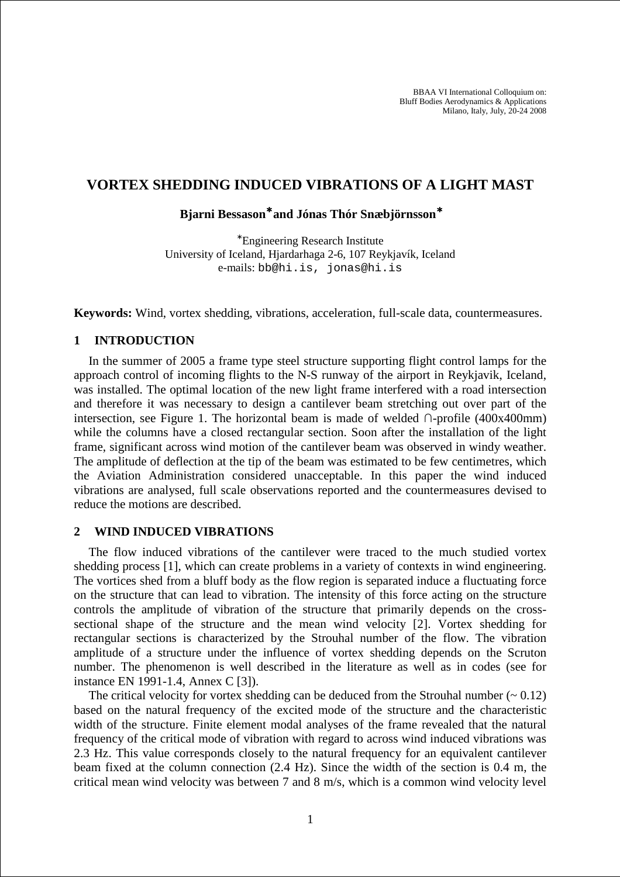BBAA VI International Colloquium on: Bluff Bodies Aerodynamics & Applications Milano, Italy, July, 20-24 2008

## **VORTEX SHEDDING INDUCED VIBRATIONS OF A LIGHT MAST**

**Bjarni Bessason**<sup>∗</sup> **and Jónas Thór Snæbjörnsson**<sup>∗</sup>

<sup>∗</sup> Engineering Research Institute University of Iceland, Hjardarhaga 2-6, 107 Reykjavík, Iceland e-mails: bb@hi.is, jonas@hi.is

**Keywords:** Wind, vortex shedding, vibrations, acceleration, full-scale data, countermeasures.

## **1 INTRODUCTION**

In the summer of 2005 a frame type steel structure supporting flight control lamps for the approach control of incoming flights to the N-S runway of the airport in Reykjavik, Iceland, was installed. The optimal location of the new light frame interfered with a road intersection and therefore it was necessary to design a cantilever beam stretching out over part of the intersection, see Figure 1. The horizontal beam is made of welded  $\cap$ -profile (400x400mm) while the columns have a closed rectangular section. Soon after the installation of the light frame, significant across wind motion of the cantilever beam was observed in windy weather. The amplitude of deflection at the tip of the beam was estimated to be few centimetres, which the Aviation Administration considered unacceptable. In this paper the wind induced vibrations are analysed, full scale observations reported and the countermeasures devised to reduce the motions are described.

### **2 WIND INDUCED VIBRATIONS**

The flow induced vibrations of the cantilever were traced to the much studied vortex shedding process [1], which can create problems in a variety of contexts in wind engineering. The vortices shed from a bluff body as the flow region is separated induce a fluctuating force on the structure that can lead to vibration. The intensity of this force acting on the structure controls the amplitude of vibration of the structure that primarily depends on the crosssectional shape of the structure and the mean wind velocity [2]. Vortex shedding for rectangular sections is characterized by the Strouhal number of the flow. The vibration amplitude of a structure under the influence of vortex shedding depends on the Scruton number. The phenomenon is well described in the literature as well as in codes (see for instance EN 1991-1.4, Annex C [3]).

The critical velocity for vortex shedding can be deduced from the Strouhal number  $(0.12)$ based on the natural frequency of the excited mode of the structure and the characteristic width of the structure. Finite element modal analyses of the frame revealed that the natural frequency of the critical mode of vibration with regard to across wind induced vibrations was 2.3 Hz. This value corresponds closely to the natural frequency for an equivalent cantilever beam fixed at the column connection (2.4 Hz). Since the width of the section is 0.4 m, the critical mean wind velocity was between 7 and 8 m/s, which is a common wind velocity level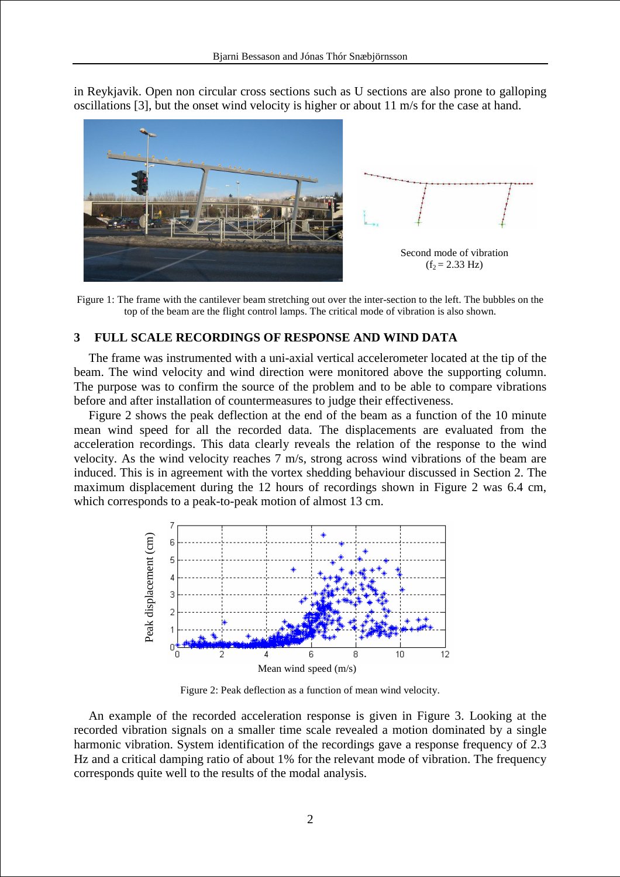in Reykjavik. Open non circular cross sections such as U sections are also prone to galloping oscillations [3], but the onset wind velocity is higher or about 11 m/s for the case at hand.



Figure 1: The frame with the cantilever beam stretching out over the inter-section to the left. The bubbles on the top of the beam are the flight control lamps. The critical mode of vibration is also shown.

# **3 FULL SCALE RECORDINGS OF RESPONSE AND WIND DATA**

The frame was instrumented with a uni-axial vertical accelerometer located at the tip of the beam. The wind velocity and wind direction were monitored above the supporting column. The purpose was to confirm the source of the problem and to be able to compare vibrations before and after installation of countermeasures to judge their effectiveness.

Figure 2 shows the peak deflection at the end of the beam as a function of the 10 minute mean wind speed for all the recorded data. The displacements are evaluated from the acceleration recordings. This data clearly reveals the relation of the response to the wind velocity. As the wind velocity reaches 7 m/s, strong across wind vibrations of the beam are induced. This is in agreement with the vortex shedding behaviour discussed in Section 2. The maximum displacement during the 12 hours of recordings shown in Figure 2 was 6.4 cm, which corresponds to a peak-to-peak motion of almost 13 cm.



Figure 2: Peak deflection as a function of mean wind velocity.

An example of the recorded acceleration response is given in Figure 3. Looking at the recorded vibration signals on a smaller time scale revealed a motion dominated by a single harmonic vibration. System identification of the recordings gave a response frequency of 2.3 Hz and a critical damping ratio of about 1% for the relevant mode of vibration. The frequency corresponds quite well to the results of the modal analysis.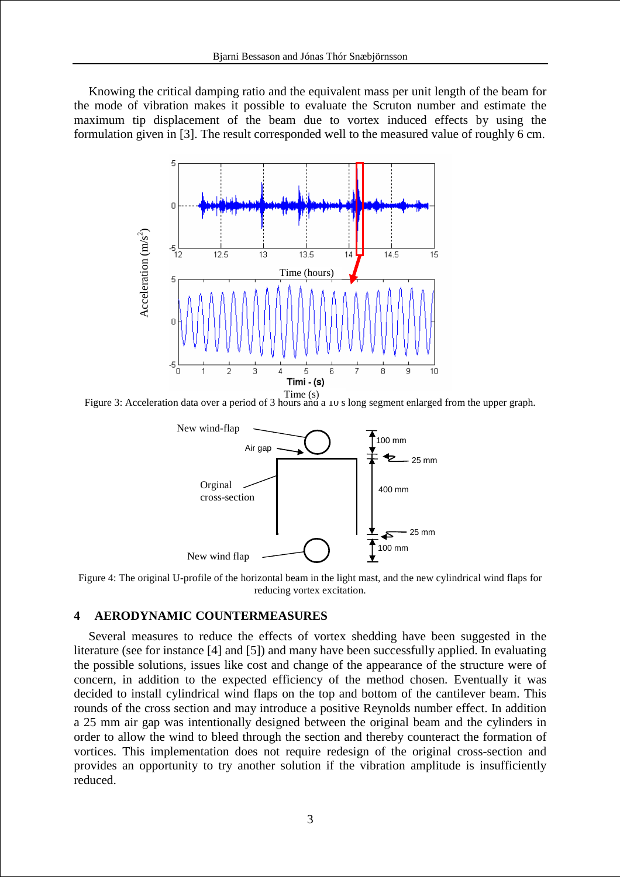Knowing the critical damping ratio and the equivalent mass per unit length of the beam for the mode of vibration makes it possible to evaluate the Scruton number and estimate the maximum tip displacement of the beam due to vortex induced effects by using the formulation given in [3]. The result corresponded well to the measured value of roughly 6 cm.



Figure 3: Acceleration data over a period of 3 hours and a 10 s long segment enlarged from the upper graph. Time (s)



Figure 4: The original U-profile of the horizontal beam in the light mast, and the new cylindrical wind flaps for reducing vortex excitation.

## **4 AERODYNAMIC COUNTERMEASURES**

Several measures to reduce the effects of vortex shedding have been suggested in the literature (see for instance [4] and [5]) and many have been successfully applied. In evaluating the possible solutions, issues like cost and change of the appearance of the structure were of concern, in addition to the expected efficiency of the method chosen. Eventually it was decided to install cylindrical wind flaps on the top and bottom of the cantilever beam. This rounds of the cross section and may introduce a positive Reynolds number effect. In addition a 25 mm air gap was intentionally designed between the original beam and the cylinders in order to allow the wind to bleed through the section and thereby counteract the formation of vortices. This implementation does not require redesign of the original cross-section and provides an opportunity to try another solution if the vibration amplitude is insufficiently reduced.